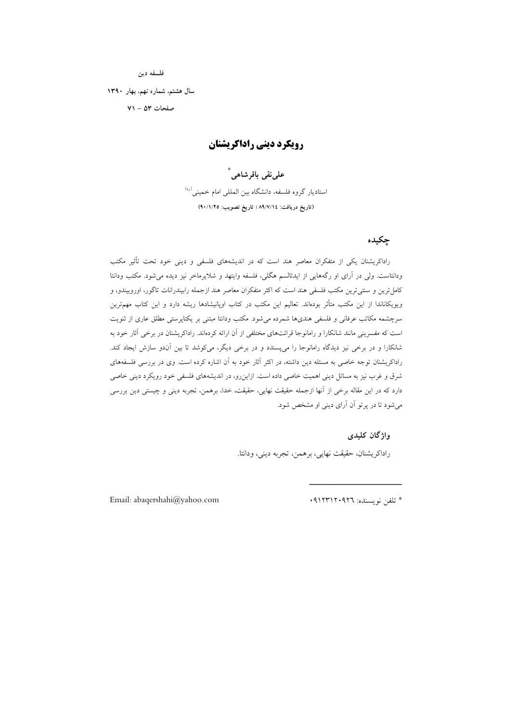فلسفه دين

سال هشتم، شماره نهم، بهار ١٣٩٠

صفحات ۵۳ - ۷۱

## **رویکرد دینی راداکریشنان**

على نقى باقرشاهى ٌ

استادیار گروه فلسفه، دانشگاه بین الملل<sub>ی</sub> امام خمین<sub>ی</sub><sup>(ره)</sup> (تاريخ دريافت: ٨٩/٧/١٤ ؛ تاريخ تصويب: ٩٠/١/٢٥)

### چکیده

راداکریشنان یکی از متفکران معاصر هند است که در اندیشههای فلسفی و دینی خود تحت تأثیر مکتب ودانتاست. ولی در آرای او رگههایی از ایدئالسم هگلی، فلسفه وایتهد و شلایرماخر نیز دیده می شود. مکتب ودانتا کامل ترین و سنتی ترین مکتب فلسفی هند است که اکثر متفکران معاصر هند ازجمله رابیندرانات تاگور، اوروبیندو، و ویویکاناندا از این مکتب متأثر بودهاند. تعالیم این مکتب در کتاب اوپانیشادها ریشه دارد و این کتاب مهمترین سرچشمه مکاتب عرفانی و فلسفی هندیها شمرده می شود. مکتب ودانتا مبتنی بر یکتاپرستی مطلق عاری از ثنویت است که مفسرینی مانند شانکارا و رامانوجا قرائتهای مختلفی از آن ارائه کردماند. راداکریشنان در برخی آثار خود به شانکارا و در برخی نیز دیدگاه رامانوجا را میپسندد و در برخی دیگر، میکوشد تا بین آندو سازش ایجاد کند. راداکریشنان توجه خاصی به مسئله دین داشته، در اکثر آثار خود به آن اشاره کرده است. وی در بررسی فلسفههای شرق و غرب نیز به مسائل دینی اهمیت خاصی داده است. ازاینرو، در اندیشههای فلسفی خود رویکرد دینی خاصی دارد که در این مقاله برخی از آنها ازجمله حقیقت نهایی، حقیقت، خدا، برهمن، تجربه دینی و چیستی دین بررسی می شود تا در پر تو آن آرای دینی او مشخص شود.

### واژگان کليدې

راداكريشنان، حقيقت نهايي، برهمن، تجربه ديني، ودانتا.

Email: abaqershahi@yahoo.com

\* تلفن نويسنده: ٩١٢٣١٢٠٩٢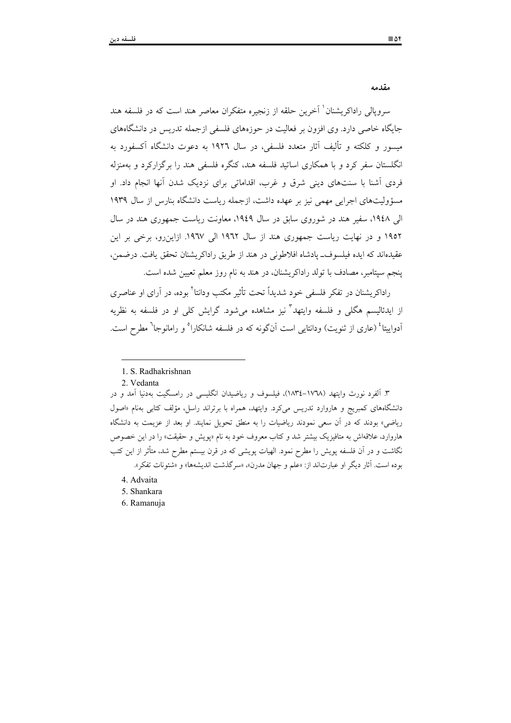مقدمه

سرویالی راداکریشنان ٰ آخرین حلقه از زنجیره متفکران معاصر هند است که در فلسفه هند جایگاه خاصی دارد. وی افزون بر فعالیت در حوزههای فلسفی ازجمله تدریس در دانشگاههای میسور و کلکته و تألیف آثار متعدد فلسفی، در سال ۱۹۲۲ به دعوت دانشگاه آکسفورد به انگلستان سفر کرد و با همکاری اساتید فلسفه هند، کنگره فلسفی هند را برگزارکرد و بهمنزله فردی اَشنا با سنتهای دینی شرق و غرب، اقداماتی برای نزدیک شدن اَنها انجام داد. او مسؤولیتهای اجرایی مهمی نیز بر عهده داشت، ازجمله ریاست دانشگاه بنارس از سال ۱۹۳۹ الی ۱۹٤۸، سفیر هند در شوروی سابق در سال ۱۹٤۹، معاونت ریاست جمهوری هند در سال ۱۹۵۲ و در نهایت ریاست جمهوری هند از سال ۱۹٦۲ الی ۱۹٦۷. ازاین رو، برخی بر این عقيدهاند كه ايده فيلسوف\_ پادشاه افلاطوني در هند از طريق راداكريشنان تحقق يافت. درضمن، ينجم سيتامبر، مصادف با تولد راداكريشنان، در هند به نام روز معلم تعيين شده است.

راداکریشنان در تفکر فلسفی خود شدیداً تحت تأثیر مکتب ودانتا<sup>۲</sup> بوده، در آرای او عناصری از ایدئالیسم هگلی و فلسفه وایتهد ّ نیز مشاهده می شود. گرایش کلی او در فلسفه به نظریه آدواییتا<sup>؛</sup> (عاری از ثنویت) ودانتایی است آنگونه که در فلسفه شانکارا<sup>ه</sup> و رامانوجا<sup>٦</sup> مطرح است.

2. Vedanta

۳. آلفرد نورث وایتهد (۱۷٦۸–۱۸۳٤)، فیلسوف و ریاضیدان انگلیسی در رامسگیت بهدنیا آمد و در دانشگاههای کمبریج و هاروارد تدریس می کرد. وایتهد، همراه با برتراند راسل، مؤلف کتابی بهنام «اصول ریاضی» بودند که در آن سعی نمودند ریاضیات را به منطق تحویل نمایند. او بعد از عزیمت به دانشگاه هاروارد، علاقهاش به متافیزیک بیشتر شد و کتاب معروف خود به نام «پویش و حقیقت» را در این خصوص نگاشت و در آن فلسفه پویش را مطرح نمود. الهیات پویشی که در قرن بیستم مطرح شد، متأثر از این کتب بوده است. آثار ديگر او عبارتاند از: «علم و جهان مدرن»، «سرگذشت انديشهها» و «شئونات تفكر ».

- 4. Advaita
- 5. Shankara
- 6. Ramanuja

<sup>1.</sup> S. Radhakrishnan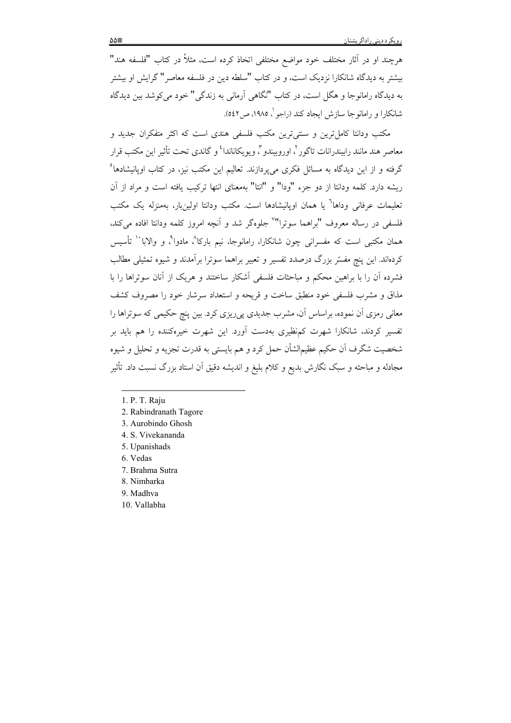هرچند او در آثار مختلف خود مواضع مختلفی اتخاذ کرده است، مثلاً در کتاب "فلسفه هند" بیشتر به دیدگاه شانکارا نزدیک است، و در کتاب "سلطه دین در فلسفه معاصر" گرایش او بیشتر به دیدگاه رامانوجا و هگل است، در کتاب "نگاهی آرمانی به زندگی" خود می کوشد بین دیدگاه شانکارا و رامانوجا سازش ایجاد کند (راجو \ ۱۹۸۵، ص۲٤۲).

مکتب ودانتا کامل ترین و سنتی ترین مکتب فلسفی هندی است که اکثر متفکران جدید و معاصر هند مانند رابیندرانات تاگور '، اوروبیندو ''، ویوپکاناندا' و گاندی تحت تأثیر این مکتب قرار گرفته و از این دیدگاه به مسائل فکری می پردازند. تعالیم این مکتب نیز، در کتاب اوپانیشادها<sup>ه</sup> ريشه دارد. كلمه ودانتا از دو جزء "ودا" و "انتا" بهمعناي انتها تركيب يافته است و مراد از آن تعليمات عرفاني وداها<sup>٦</sup> يا همان اويانيشادها است. مكتب ودانتا اولين،بار، بهمنزله يک مکتب فلسفي در رساله معروف "براهما سوترا"٬ جلوهگر شد و آنچه امروز کلمه ودانتا افاده مي کند، همان مکتبی است که مفسرانی چون شانکارا، رامانوجا، نیم بارکا^، مادوا^، و والابا`` تأسیس کردهاند. این پنج مفسّر بزرگ درصدد تفسیر و تعبیر براهما سوترا برآمدند و شیوه تمثیلی مطالب فشرده آن را با براهین محکم و مباحثات فلسفی آشکار ساختند و هریک از آنان سوتراها را با مذاق و مشرب فلسفی خود منطبق ساخت و قریحه و استعداد سرشار خود را مصروف کشف معانی رمزی اَن نموده، براساس اَن، مشرب جدیدی پی٫ریزی کرد. بین پنچ حکیمی که سوتراها را تفسیر کردند، شانکارا شهرت کمنظیری بهدست آورد. این شهرت خیرهکننده را هم باید بر شخصيت شگرف اَن حکيم عظيمالشأن حمل کرد و هم بايستي به قدرت تجزيه و تحليل و شيوه مجادله و مباحثه و سبک نگارش بدیع و کلام بلیغ و اندیشه دقیق اَن استاد بزرگ نسبت داد. تأثیر

- 2. Rabindranath Tagore
- 3. Aurobindo Ghosh
- 4. S. Vivekananda
- 5. Upanishads
- 6 Vedas
- 7. Brahma Sutra
- 8. Nimbarka
- 9. Madhva
- 10. Vallabha

<sup>1.</sup> P. T. Raju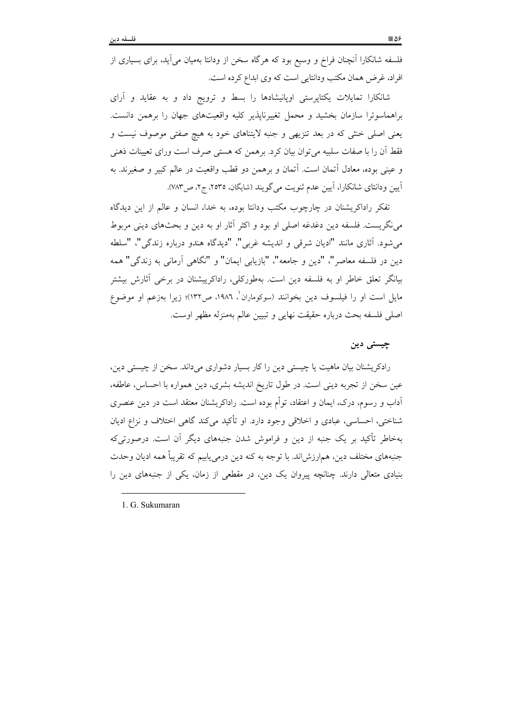فلسفه شانکارا آنچنان فراخ و وسیع بود که هرگاه سخن از ودانتا بهمیان میآید، برای بسیاری از افراد، غرض همان مکتب ودانتایی است که وی ابداع کرده است.

شانکارا تمایلات یکتاپرستی اوپانیشادها را بسط و ترویج داد و به عقاید و آرای براهماسوترا سازمان بخشید و محمل تغییرناپذیر کلیه واقعیتهای جهان را برهمن دانست. یعنی اصلی خنثی که در بعد تنزیهی و جنبه لایتناهای خود به هیچ صفتی موصوف نیست و فقط آن را با صفات سلبیه می توان بیان کرد. برهمن که هستی صرف است ورای تعیینات ذهنی و عيني بوده، معادل آتمان است. آتمان و برهمن دو قطب واقعيت در عالم كبير و صغيرند. به اًيين ودانتاي شانكارا، اَيين عدم ثنويت مي گويند (شايگان، ٢٥٣٥، ج٢، ص٧٨٣).

تفکر راداکریشنان در چارچوب مکتب ودانتا بوده، به خدا، انسان و عالم از این دیدگاه مینگریست. فلسفه دین دغدغه اصلی او بود و اکثر آثار او به دین و بحثهای دینی مربوط مي شود. آثاري مانند "اديان شرقي و انديشه غربي"، "ديدگاه هندو درباره زندگي"، "سلطه دین در فلسفه معاصر"، "دین و جامعه"، "بازیابی ایمان" و "نگاهی آرمانی به زندگی" همه بیانگر تعلق خاطر او به فلسفه دین است. بهطورکلی، راداکرییشنان در برخی آثارش بیشتر مایل است او را فیلسوف دین بخوانند (سوکوماران<sup>'</sup>، ۱۹۸۶، ص۱۳۲)؛ زیرا بهزعم او موضوع اصلي فلسفه بحث درباره حقيقت نهايي و تبيين عالم بهمنزله مظهر اوست.

### چیستی دین

رادکریشنان بیان ماهیت یا چیستی دین را کار بسیار دشواری میداند. سخن از چیستی دین، عین سخن از تجربه دینی است. در طول تاریخ اندیشه بشری، دین همواره با احساس، عاطفه، آداب و رسوم، درک، ایمان و اعتقاد، توأم بوده است. راداکریشنان معتقد است در دین عنصری شناختی، احساسی، عبادی و اخلاقی وجود دارد. او تأکید می کند گاهی اختلاف و نزاع ادیان بهخاطر تأکید بر یک جنبه از دین و فراموش شدن جنبههای دیگر آن است. درصورتی که جنبههای مختلف دین، هم|رزش|ند. با توجه به کنه دین درمی یابیم که تقریباً همه ادیان وحدت بنیادی متعالی دارند. چنانچه پیروان یک دین، در مقطعی از زمان، یکی از جنبههای دین را

1 G Sukumaran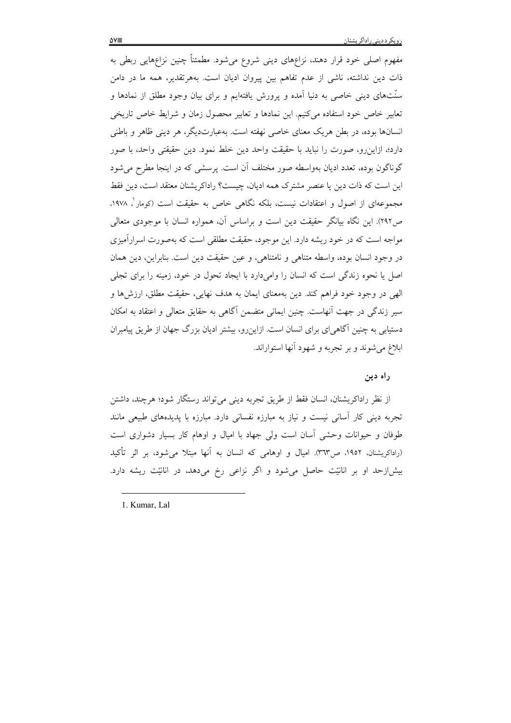مفهوم اصلی خود قرار دهند، نزاعهای دینی شروع میشود. مطمئناً چنین نزاعهایی ربطی به ذات دین نداشته، ناشی از عدم تفاهم بین پیروان ادیان است. بههرتقدیر، همه ما در دامن سنّتهای دینی خاصی به دنیا آمده و پرورش یافتهایم و برای بیان وجود مطلق از نمادها و تعابیر خاص خود استفاده می کنیم. این نمادها و تعابیر محصول زمان و شرایط خاص تاریخی انسانها بوده، در بطن هریک معنای خاصی نهفته است. بهعبارتدیگر، هر دینی ظاهر و باطنی دارد؛، ازاین٫و، صورت را نباید با حقیقت واحد دین خلط نمود. دین حقیقتی واحد، با صور گوناگون بوده، تعدد ادیان بهواسطه صور مختلف آن است. پرسشی که در اینجا مطرح می شود این است که ذات دین یا عنصر مشترک همه ادیان، چیست؟ راداکریشنان معتقد است، دین فقط مجموعهای از اصول و اعتقادات نیست، بلکه نگاهی خاص به حقیقت است (کومار ، ۱۹۷۸، ص٢٩٢). این نگاه بیانگر حقیقت دین است و براساس آن، همواره انسان با موجودی متعالی مواجه است که در خود ریشه دارد. این موجود، حقیقت مطلقی است که بهصورت اسرارآمیزی در وجود انسان بوده، واسطه متناهی و نامتناهی، و عین حقیقت دین است. بنابراین، دین همان اصل یا نحوه زندگی است که انسان را وامیدارد با ایجاد تحول در خود، زمینه را برای تجلی الهي در وجود خود فراهم كند. دين بهمعناي ايمان به هدف نهايي، حقيقت مطلق، ارزش ها و سیر زندگی در جهت اّنهاست. چنین ایمانی متضمن آگاهی به حقایق متعالی و اعتقاد به امکان دستیابی به چنین آگاهی[ی برای انسان است. ازاینرو، بیشتر ادیان بزرگ جهان از طریق پیامبران ابلاغ می شوند و بر تجربه و شهود آنها استواراند.

ر اه دين

از نظر راداكريشنان، انسان فقط از طريق تجربه ديني مي تواند رستگار شود؛ هرچند، داشتن تجربه دینی کار اسانی نیست و نیاز به مبارزه نفسانی دارد. مبارزه با یدیدههای طبیعی مانند طوفان و حیوانات وحشی آسان است ولی جهاد با امیال و اوهام کار بسیار دشواری است (راداکریشنان، ۱۹۵۲، ص۳٦۳). امیال و اوهامی که انسان به اّنها مبتلا میشود، بر اثر تأکید بیش|زحد او بر انانیّت حاصل میشود و اگر نزاعی رخ میدهد، در انانیّت ریشه دارد.

1. Kumar, Lal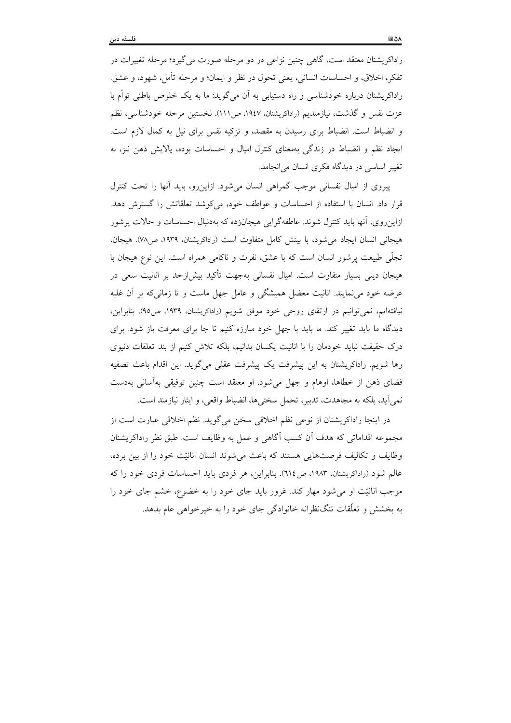راداکریشنان معتقد است، گاهی چنین نزاعی در دو مرحله صورت می گیرد؛ مرحله تغییرات در تفكر، اخلاق، و احساسات انساني، يعني تحول در نظر و ايمان؛ و مرحله تأمل، شهود، و عشق. راداکریشنان درباره خودشناسی و راه دستیابی به آن میگوید: ما به یک خلوص باطنی توأم با عزت نفس و گذشت، نیازمندیم (راداکریشنان، ۱۹٤۷، ص۱۱۱). نخستین مرحله خودشناسی، نظم و انضباط است. انضباط برای رسیدن به مقصد، و تزکیه نفس برای نیل به کمال لازم است. ایجاد نظم و انضباط در زندگی بهمعنای کنترل امیال و احساسات بوده، پالایش ذهن نیز، به تغییر اساسی در دیدگاه فکری انسان میانجامد.

پیروی از امیال نفسانی موجب گمراهی انسان می شود. ازاین رو، باید آنها را تحت کنترل قرار داد. انسان با استفاده از احساسات و عواطف خود، می کوشد تعلقاتش را گسترش دهد. ازاینروی، آنها باید کنترل شوند. عاطفهگرایی هیجانزده که بهدنبال احساسات و حالات پرشور هيجاني انسان ايجاد مي شود، با بينش كامل متفاوت است (راداكريشنان، ١٩٣٩، ص٧٨). هيجان، تجلَّمي طبيعت يرشور انسان است كه با عشق، نفرت و ناكامي همراه است. اين نوع هيجان با هیجان دینی بسیار متفاوت است. امیال نفسانی بهجهت تأکید بیش(زحد بر انانیت سعی در عرضه خود می،نمایند. انانیت معضل همیشگی و عامل جهل ماست و تا زمانی که بر آن غلبه نیافتهایم، نمیتوانیم در ارتقای روحی خود موفق شویم (راداکریشنان، ۱۹۳۹، ص۹۵). بنابراین، دیدگاه ما باید تغییر کند. ما باید با جهل خود مبارزه کنیم تا جا برای معرفت باز شود. برای درک حقیقت نباید خودمان را با انانیت یکسان بدانیم، بلکه تلاش کنیم از بند تعلقات دنیوی رها شويم. راداكريشنان به اين پيشرفت يک پيشرفت عقلي ميگويد. اين اقدام باعث تصفيه فضای ذهن از خطاها، اوهام و جهل می شود. او معتقد است چنین توفیقی بهآسانی بهدست نمي آيد، بلكه به مجاهدت، تدبير، تحمل سختيها، انضباط واقعي، و ايثار نيازمند است.

در اينجا راداكريشنان از نوعي نظم اخلاقي سخن مي گويد. نظم اخلاقي عبارت است از مجموعه اقداماتی که هدف اّن کسب اگاهی و عمل به وظایف است. طبق نظر راداکریشنان وظايف و تكاليف فرصتهايي هستند كه باعث مي شوند انسان انانيّت خود را از بين برده، عالم شود (راداکریشنان، ۱۹۸۳، ص ٦١٤). بنابراین، هر فردی باید احساسات فردی خود را که موجب انانیّت او می شود مهار کند. غرور باید جای خود را به خضوع، خشم جای خود را به بخشش و تعلّقات تنگ ظرانه خانوادگی جای خود را به خیرخواهی عام بدهد.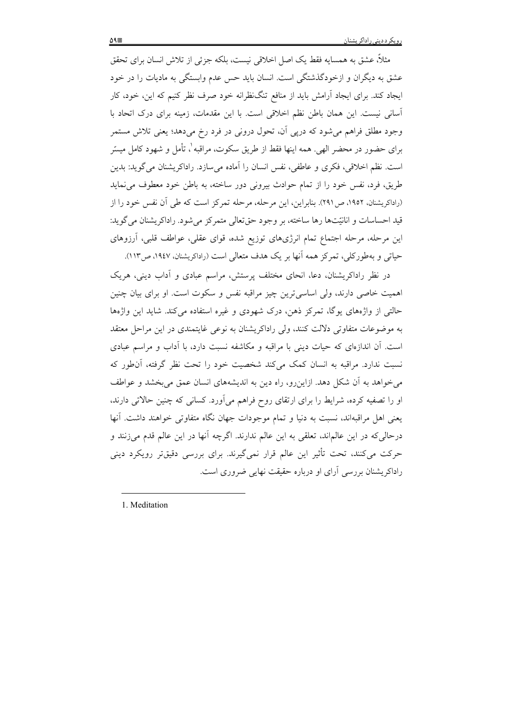مثلاً، عشق به همسایه فقط یک اصل اخلاقی نیست، بلکه جزئی از تلاش انسان برای تحقق عشق به دیگران و ازخودگذشتگی است. انسان باید حس عدم وابستگی به مادیات را در خود ایجاد کند. برای ایجاد آرامش باید از منافع تنگنظرانه خود صرف نظر کنیم که این، خود، کار آسانی نیست. این همان باطن نظم اخلاقی است. با این مقدمات، زمینه برای درک اتحاد با وجود مطلق فراهم میشود که درپی اَن، تحول درونی در فرد رخ میدهد؛ یعنی تلاش مستمر برای حضور در محضر الهی. همه اینها فقط از طریق سکوت، مراقبه'، تأمل و شهود کامل میسّر است. نظم اخلاقی، فکری و عاطفی، نفس انسان را آماده می سازد. راداکریشنان می گوید: بدین طریق، فرد، نفس خود را از تمام حوادث بیرونی دور ساخته، به باطن خود معطوف می نماید (راداکریشنان، ۱۹۵۲، ص۲۹۱). بنابراین، این مرحله، مرحله تمرکز است که طی آن نفس خود را از قید احساسات و انانیّتها رها ساخته، بر وجود حقّتعالی متمرکز می شود. راداکریشنان می گوید: این مرحله، مرحله اجتماع تمام انرژیهای توزیع شده، قوای عقلی، عواطف قلبی، آرزوهای حیاتی و بهطورکلی، تمرکز همه آنها بر یک هدف متعالی است (راداکریشنان، ۱۹٤۷، ص۱۱۳).

در نظر راداکریشنان، دعا، انحای مختلف پرستش، مراسم عبادی و اَداب دینی، هریک اهمیت خاصی دارند، ولی اساسی ترین چیز مراقبه نفس و سکوت است. او برای بیان چنین حالتی از واژههای یوگا، تمرکز ذهن، درک شهودی و غیره استفاده میکند. شاید این واژهها به موضوعات متفاوتی دلالت کنند، ولی راداکریشنان به نوعی غایتمندی در این مراحل معتقد است. أن اندازهای که حیات دینی با مراقبه و مکاشفه نسبت دارد، با اّداب و مراسم عبادی نسبت ندارد. مراقبه به انسان کمک میکند شخصیت خود را تحت نظر گرفته، آن طور که می خواهد به آن شکل دهد. ازاین رو، راه دین به اندیشههای انسان عمق می بخشد و عواطف او را تصفیه کرده، شرایط را برای ارتقای روح فراهم میآورد. کسانی که چنین حالاتی دارند، يعني اهل مراقبهاند، نسبت به دنيا و تمام موجودات جهان نگاه متفاوتي خواهند داشت. آنها درحالي كه در اين عالماند، تعلقي به اين عالم ندارند. اگرچه آنها در اين عالم قدم ميزنند و حرکت میکنند، تحت تأثیر این عالم قرار نمیگیرند. برای بررسی دقیقتر رویکرد دینی راداکریشنان بررسی آرای او درباره حقیقت نهایی ضروری است.

1 Meditation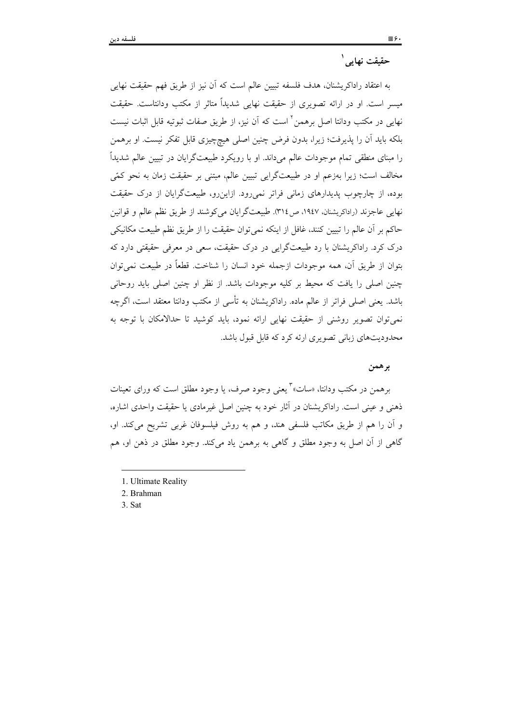# حقيقت نهايي<sup>'</sup>

به اعتقاد راداكريشنان، هدف فلسفه تبيين عالم است كه آن نيز از طريق فهم حقيقت نهايي میسر است. او در ارائه تصویری از حقیقت نهایی شدیداً متاثر از مکتب ودانتاست. حقیقت نهایی در مکتب ودانتا اصل برهمن ٔ است که آن نیز، از طریق صفات ثبوتیه قابل اثبات نیست بلکه باید آن را پذیرفت؛ زیرا، بدون فرض چنین اصلی هیچچیزی قابل تفکر نیست. او برهمن را مبنای منطقی تمام موجودات عالم میداند. او با رویکرد طبیعتگرایان در تبیین عالم شدیداً مخالف است؛ زیرا بهزعم او در طبیعتگرایی تبیین عالم، مبتنی بر حقیقت زمان به نحو کمّی بوده، از چارچوب پدیدارهای زمانی فراتر نمی رود. ازاین رو، طبیعتگرایان از درک حقیقت نهایی عاجزند (راداکریشنان، ۱۹٤۷، ص١٣١٤. طبیعتگرایان می کوشند از طریق نظم عالم و قوانین حاكم بر أن عالم را تبيين كنند، غافل از اينكه نمي توان حقيقت را از طريق نظم طبيعت مكانيكي درک کرد. راداکریشنان با رد طبیعتگرایی در درک حقیقت، سعی در معرفی حقیقتی دارد که بتوان از طريق آن، همه موجودات ازجمله خود انسان را شناخت. قطعاً در طبيعت نمي توان چنین اصلی را یافت که محیط بر کلیه موجودات باشد. از نظر او چنین اصلی باید روحانی باشد. يعني اصلي فراتر از عالم ماده. راداكريشنان به تأسي از مكتب ودانتا معتقد است، اگرچه نمي توان تصوير روشني از حقيقت نهايي ارائه نمود، بايد كوشيد تا حدالامكان با توجه به محدودیتهای زبانی تصویری ارئه کرد که قابل قبول باشد.

### برهمن

برهمن در مکتب ودانتا، «سات» تعنی وجود صرف، یا وجود مطلق است که ورای تعینات ذهني و عيني است. راداكريشنان در آثار خود به چنين اصل غيرمادي يا حقيقت واحدي اشاره، و آن را هم از طریق مکاتب فلسفی هند، و هم به روش فیلسوفان غربی تشریح میکند. او، گاهی از آن اصل به وجود مطلق و گاهی به برهمن یاد میکند. وجود مطلق در ذهن او، هم

3. Sat

<sup>1.</sup> Ultimate Reality

<sup>2.</sup> Brahman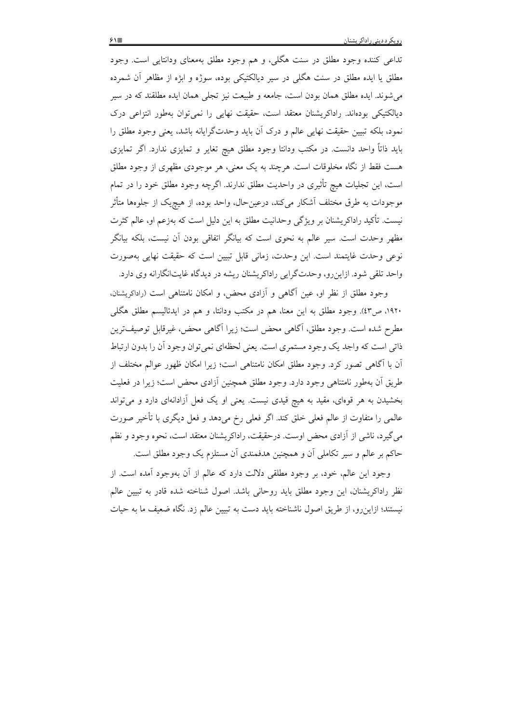تداعی کننده وجود مطلق در سنت هگلی، و هم وجود مطلق بهمعنای ودانتایی است. وجود مطلق یا ایده مطلق در سنت هگلی در سیر دیالکتیکی بوده، سوژه و ابژه از مظاهر آن شمرده می شوند. ایده مطلق همان بودن است، جامعه و طبیعت نیز تجلّی همان ایده مطلقند که در سیر دیالکتیکی بودهاند. راداکریشنان معتقد است، حقیقت نهایی را نمی توان بهطور انتزاعی درک نمود، بلكه تبيين حقيقت نهايي عالم و درك أن بايد وحدتگرايانه باشد، يعني وجود مطلق را باید ذاتاً واحد دانست. در مکتب ودانتا وجود مطلق هیچ تغایر و تمایزی ندارد. اگر تمایزی هست فقط از نگاه مخلوقات است. هرچند به یک معنی، هر موجودی مظهری از وجود مطلق است، این تجلیات هیچ تأثیری در واحدیت مطلق ندارند. اگرچه وجود مطلق خود را در تمام موجودات به طرق مختلف آشکار می کند، درعین حال، واحد بوده، از هیچیک از جلوهها متأثر نیست. تأکید راداکریشنان بر ویژگی وحدانیت مطلق به این دلیل است که بهزعم او، عالم کثرت مظهر وحدت است. سیر عالم به نحوی است که بیانگر اتفاقی بودن اّن نیست، بلکه بیانگر نوعی وحدت غایتمند است. این وحدت، زمانی قابل تبیین است که حقیقت نهایی بهصورت واحد تلقی شود. ازاینِ رو، وحدتگرایی راداکریشنان ریشه در دیدگاه غایتانگارانه وی دارد.

وجود مطلق از نظر او، عین آگاهی و آزادی محض، و امکان نامتناهی است (راداکریشنان، ۱۹۲۰، ص٤٣). وجود مطلق به اين معنا، هم در مكتب ودانتا، و هم در ايدئاليسم مطلق هگلبي مطرح شده است. وجود مطلق، آگاهی محض است؛ زیرا آگاهی محض، غیرقابل توصیفترین ذاتي است كه واجد يك وجود مستمري است. يعني لحظهاي نمي توان وجود أن را بدون ارتباط آن با آگاهی تصور کرد. وجود مطلق امکان نامتناهی است؛ زیرا امکان ظهور عوالم مختلف از طريق آن بهطور نامتناهي وجود دارد. وجود مطلق همچنين آزادي محض است؛ زيرا در فعليت بخشیدن به هر قومای، مقید به هیچ قیدی نیست. یعنی او یک فعل آزادانهای دارد و می تواند عالمي را متفاوت از عالم فعلي خلق كند. اگر فعلي رخ ميدهد و فعل ديگري با تأخير صورت مي گيرد، ناشي از آزادي محض اوست. درحقيقت، راداكريشنان معتقد است، نحوه وجود و نظم حاکم بر عالم و سیر تکاملی اّن و همچنین هدفمندی اّن مستلزم یک وجود مطلق است.

وجود این عالم، خود، بر وجود مطلقی دلالت دارد که عالم از آن بهوجود آمده است. از نظر راداكريشنان، اين وجود مطلق بايد روحاني باشد. اصول شناخته شده قادر به تبيين عالم نیستند؛ ازاین٫و، از طریق اصول ناشناخته باید دست به تبیین عالم زد. نگاه ضعیف ما به حیات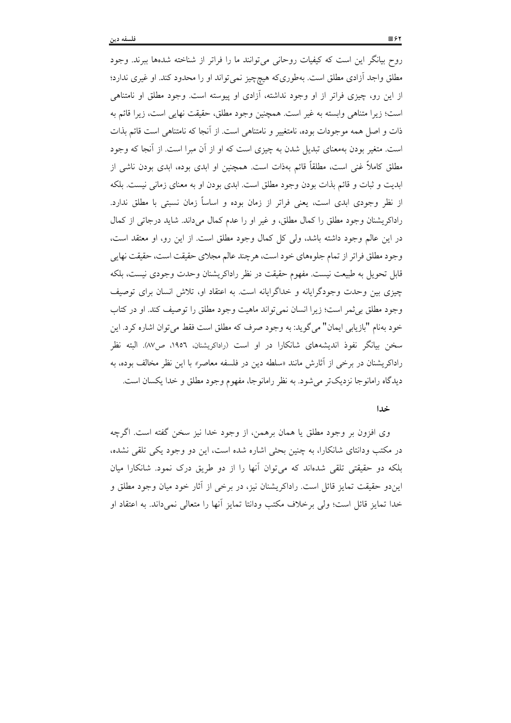روح بیانگر این است که کیفیات روحانی میتوانند ما را فراتر از شناخته شدهها ببرند. وجود مطلق واجد أزادی مطلق است. بهطوریکه هیچچیز نمیٍتواند او را محدود کند. او غیری ندارد؛ از این رو، چیزی فراتر از او وجود نداشته، آزادی او پیوسته است. وجود مطلق او نامتناهی است؛ زيرا متناهي وابسته به غير است. همچنين وجود مطلق، حقيقت نهايي است، زيرا قائم به ذات و اصل همه موجودات بوده، نامتغییر و نامتناهی است. از آنجا که نامتناهی است قائم بذات است. متغیر بودن بهمعنای تبدیل شدن به چیزی است که او از آن مبرا است. از آنجا که وجود مطلق کاملاً غنی است، مطلقاً قائم بهذات است. همچنین او ابدی بوده، ابدی بودن ناشی از ابدیت و ثبات و قائم بذات بودن وجود مطلق است. ابدی بودن او به معنای زمانی نیست. بلکه از نظر وجودی ابدی است، یعنی فراتر از زمان بوده و اساساً زمان نسبتی با مطلق ندارد. راداکریشنان وجود مطلق را کمال مطلق، و غیر او را عدم کمال می داند. شاید درجاتی از کمال در این عالم وجود داشته باشد، ولی کل کمال وجود مطلق است. از این رو، او معتقد است، وجود مطلق فراتر از تمام جلوههای خود است، هرچند عالم مجلای حقیقت است، حقیقت نهایی قابل تحویل به طبیعت نیست. مفهوم حقیقت در نظر راداکریشنان وحدت وجودی نیست، بلکه چیزی بین وحدت وجودگرایانه و خداگرایانه است. به اعتقاد او، تلاش انسان برای توصیف وجود مطلق بي ثمر است؛ زيرا انسان نمي تواند ماهيت وجود مطلق را توصيف كند. او در كتاب خود به نام "بازيابي ايمان" مي گويد: به وجود صرف كه مطلق است فقط مي توان اشاره كرد. اين سخن بیانگر نفوذ اندیشههای شانکارا در او است (راداکریشنان، ۱۹۵۲، ص۸۷). البته نظر راداکریشنان در برخی از آثارش مانند «سلطه دین در فلسفه معاصر» با این نظر مخالف بوده، به دیدگاه رامانوجا نزدیکتر می شود. به نظر رامانوجا، مفهوم وجود مطلق و خدا یکسان است.

#### خدا

وی افزون بر وجود مطلق یا همان برهمن، از وجود خدا نیز سخن گفته است. اگرچه در مکتب ودانتای شانکارا، به چنین بحثی اشاره شده است، این دو وجود یکی تلقی نشده، بلکه دو حقیقتی تلقی شدهاند که می توان آنها را از دو طریق درک نمود. شانکارا میان ایندو حقیقت تمایز قائل است. راداکریشنان نیز، در برخی از آثار خود میان وجود مطلق و خدا تمايز قائل است؛ ولي برخلاف مكتب ودانتا تمايز أنها را متعالى نمىداند. به اعتقاد او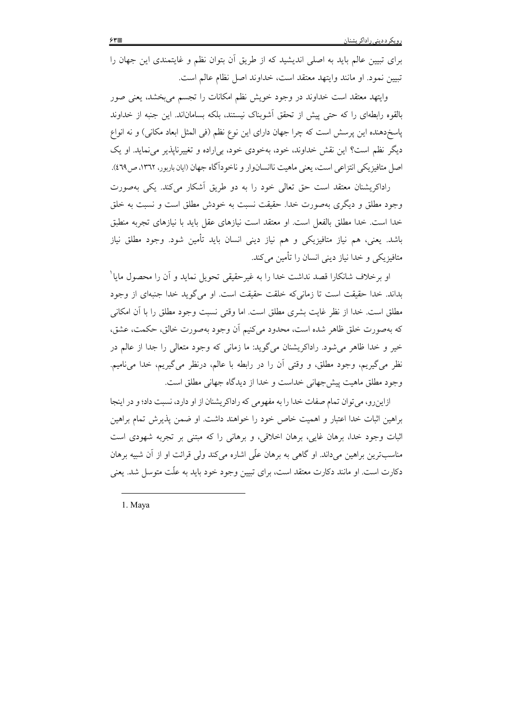برای تبیین عالم باید به اصلی اندیشید که از طریق أن بتوان نظم و غایتمندی این جهان را تبيين نمود. او مانند وايتهد معتقد است، خداوند اصل نظام عالم است.

وایتهد معتقد است خداوند در وجود خویش نظم امکانات را تجسم میبخشد، یعنی صور بالقوه رابطهای را که حتی پیش از تحقق اَشوبناک نیستند، بلکه بساماناند. این جنبه از خداوند پاسخدهنده این پرسش است که چرا جهان دارای این نوع نظم (فی المثل ابعاد مکانی) و نه انواع دیگر نظم است؟ این نقش خداوند، خود، بهخودی خود، بی(راده و تغییرناپذیر می نماید. او یک اصل متافيزيكي انتزاعي است، يعني ماهيت ناانسانوار و ناخوداًگاه جهان (ايان باربور، ١٣٦٢، ص٤٦٩).

راداکریشنان معتقد است حق تعالی خود را به دو طریق أشکار می کند. یکی بهصورت وجود مطلق و دیگری بهصورت خدا. حقیقت نسبت به خودش مطلق است و نسبت به خلق خدا است. خدا مطلق بالفعل است. او معتقد است نیازهای عقل باید با نیازهای تجربه منطبق باشد. یعنی، هم نیاز متافیزیکی و هم نیاز دینی انسان باید تأمین شود. وجود مطلق نیاز متافیزیکی و خدا نیاز دینی انسان را تأمین میکند.

او برخلاف شانكارا قصد نداشت خدا را به غیرحقیقی تحویل نماید و آن را محصول مایا ْ بداند. خدا حقیقت است تا زمانی که خلقت حقیقت است. او میگوید خدا جنبهای از وجود مطلق است. خدا از نظر غایت بشری مطلق است. اما وقتی نسبت وجود مطلق را با آن امکانی كه بهصورت خلق ظاهر شده است، محدود مى كنيم أن وجود بهصورت خالق، حكمت، عشق، خیر و خدا ظاهر می شود. راداکریشنان میگوید: ما زمانی که وجود متعالی را جدا از عالم در نظر مي گيريم، وجود مطلق، و وقتي آن را در رابطه با عالم، درنظر مي گيريم، خدا ميiاميم. وجود مطلق ماهيت پيش جهاني خداست و خدا از ديدگاه جهاني مطلق است.

ازاین رو، می توان تمام صفات خدا را به مفهومی که راداکر پشنان از او دارد، نسبت داد؛ و در اینجا براهين اثبات خدا اعتبار و اهميت خاص خود را خواهند داشت. او ضمن يذيرش تمام براهين اثبات وجود خدا، برهان غایبی، برهان اخلاقی، و برهانی را که مبتنی بر تجربه شهودی است مناسبترین براهین میداند. او گاهی به برهان علّی اشاره میکند ولی قرائت او از آن شبیه برهان دکارت است. او مانند دکارت معتقد است، برای تبیین وجود خود باید به علّت متوسل شد. یعنی

1. Maya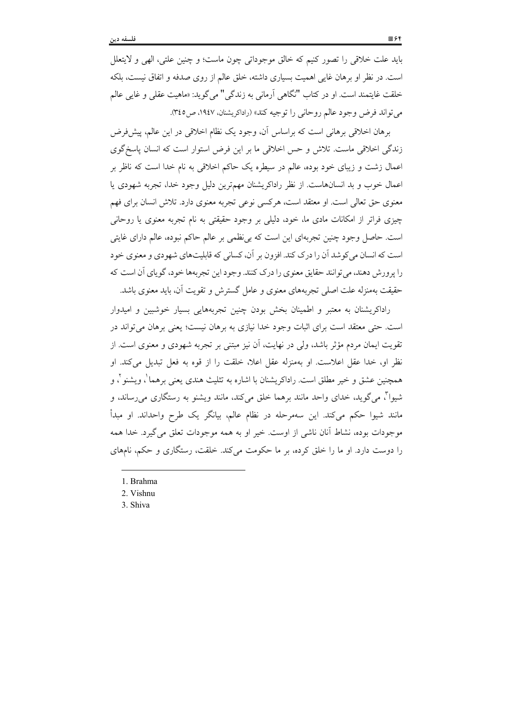بايد علت خلاقي را تصور كنيم كه خالق موجوداتي چون ماست؛ و چنين علتي، الهي و لايتعلل است. در نظر او برهان غایی اهمیت بسیاری داشته، خلق عالم از روی صدفه و اتفاق نیست، بلکه خلقت غايتمند است. او در كتاب "نگاهي آرماني به زندگي" مي گويد: «ماهيت عقلي و غايي عالم مي تواند فرض وجود عالم روحاني را توجيه كند» (راداكريشنان، ١٩٤٧، ص٢٤٥).

برهان اخلاقی برهانی است که براساس آن، وجود یک نظام اخلاقی در این عالم، پیش فرض زندگی اخلاقی ماست. تلاش و حس اخلاقی ما بر این فرض استوار است که انسان پاسخ گوی اعمال زشت و زیبای خود بوده، عالم در سیطره یک حاکم اخلاقی به نام خدا است که ناظر بر اعمال خوب و بد انسانهاست. از نظر راداکریشنان مهمترین دلیل وجود خدا، تجربه شهودی یا معنوی حق تعالی است. او معتقد است، هرکسی نوعی تجربه معنوی دارد. تلاش انسان برای فهم چیزی فراتر از امکانات مادی ما، خود، دلیلی بر وجود حقیقتی به نام تجربه معنوی یا روحانی است. حاصل وجود چنین تجربهای این است که بی نظمی بر عالم حاکم نبوده، عالم دارای غایتی است که انسان می کوشد آن را درک کند. افزون بر آن، کسانی که قابلیتهای شهودی و معنوی خود را پرورش دهند، می توانند حقایق معنوی را درک کنند. وجود این تجربهها خود، گویای آن است که حقیقت بهمنزله علت اصلی تجربههای معنوی و عامل گسترش و تقویت آن، باید معنوی باشد.

راداکریشنان به معتبر و اطمینان بخش بودن چنین تجربههایی بسیار خوشبین و امیدوار است. حتی معتقد است برای اثبات وجود خدا نیازی به برهان نیست؛ یعنی برهان می تواند در تقویت ایمان مردم مؤثر باشد، ولی در نهایت، اَن نیز مبتنی بر تجربه شهودی و معنوی است. از نظر او، خدا عقل اعلاست. او بهمنزله عقل اعلا، خلقت را از قوه به فعل تبديل مي كند. او همچنین عشق و خیر مطلق است. راداکریشنان با اشاره به تثلیث هندی یعنی برهما ْ، ویشنو ْ، و شیوا ٌ، میگوید، خدای واحد مانند برهما خلق میکند، مانند ویشنو به رستگاری میرساند، و مانند شیوا حکم میکند. این سهمرحله در نظام عالم، بیانگر یک طرح واحداند. او مبدأ موجودات بوده، نشاط آنان ناشی از اوست. خیر او به همه موجودات تعلق می گیرد. خدا همه را دوست دارد. او ما را خلق کرده، بر ما حکومت می کند. خلقت، رستگاری و حکم، نامهای

- 1. Brahma
- 2. Vishnu
- 3. Shiva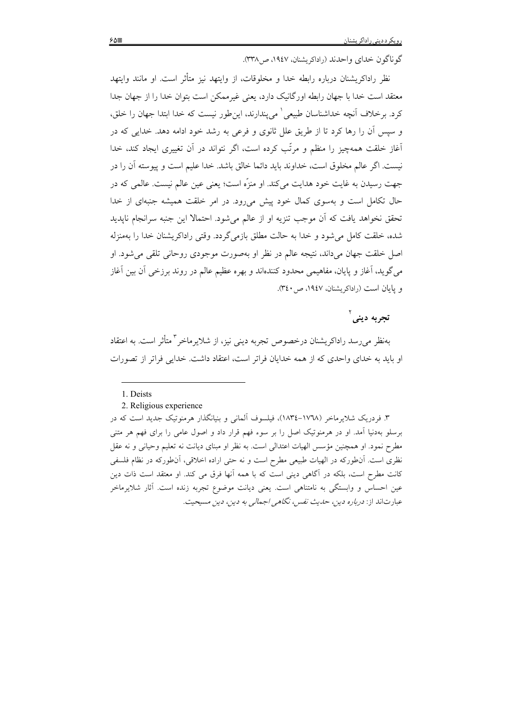گو ناگون خدای واحدند (راداکریشنان، ۱۹٤۷، ص۳۳۸).

نظر راداکریشنان درباره رابطه خدا و مخلوقات، از واپتهد نیز متأثر است. او مانند واپتهد معتقد است خدا با جهان رابطه اورگانیک دارد، یعنی غیرممکن است بتوان خدا را از جهان جدا کرد. برخلاف اّنچه خداشناسان طبیعی ْ میپندارند، اینطور نیست که خدا ابتدا جهان را خلق، و سپس آن را رها کرد تا از طریق علل ثانوی و فرعی به رشد خود ادامه دهد. خدایی که در آغاز خلقت همهچیز را منظم و مرتّب کرده است، اگر نتواند در آن تغییری ایجاد کند، خدا نيست. اگر عالم مخلوق است، خداوند بايد دائما خالق باشد. خدا عليم است و پيوسته آن را در جهت رسيدن به غايت خود هدايت مي كند. او منزَّه است؛ يعني عين عالم نيست. عالمي كه در حال تکامل است و بهسوی کمال خود پیش میرود. در امر خلقت همیشه جنبهای از خدا تحقق نخواهد يافت كه أن موجب تنزيه او از عالم مي شود. احتمالا اين جنبه سرانجام نايديد شده، خلقت كامل مي شود و خدا به حالت مطلق بازمي گردد. وقتي راداكريشنان خدا را بهمنزله اصل خلقت جهان میداند، نتیجه عالم در نظر او بهصورت موجودی روحانی تلقی می شود. او می گوید، آغاز و پایان، مفاهیمی محدود کنندهاند و بهره عظیم عالم در روند برزخی آن بین آغاز و یایان است (راداکریشنان، ۱۹٤۷، ص ۳٤٠).

## تجربه دينم آ

بهنظر میرسد راداکریشنان درخصوص تجربه دینی نیز، از شلایرماخر <sup>۲</sup> متأثر است. به اعتقاد او باید به خدای واحدی که از همه خدایان فراتر است، اعتقاد داشت. خدایی فراتر از تصورات

۳. فردریک شلایرماخر (۱۷٦۸–۱۸۳٤)، فیلسوف آلمانی و بنیانگذار هرمنوتیک جدید است که در برسلو بهدنیا آمد. او در هرمنوتیک اصل را بر سوء فهم قرار داد و اصول عامی را برای فهم هر متنی مطرح نمود. او همچنین مؤسس الهیات اعتدالی است. به نظر او مبنای دیانت نه تعلیم وحیانی و نه عقل نظری است. آنطورکه در الهیات طبیعی مطرح است و نه حتی اراده اخلاقی، آنطورکه در نظام فلسفی کانت مطرح است، بلکه در آگاهی دینی است که با همه آنها فرق می کند. او معتقد است ذات دین عین احساس و وابستگی به نامتناهی است. یعنی دیانت موضوع تجربه زنده است. آثار شلایرماخر عبارتاند از: درباره دين، حديث نفس، نگاهي اجمالي به دين، دين مسيحيت.

<sup>1.</sup> Deists

<sup>2.</sup> Religious experience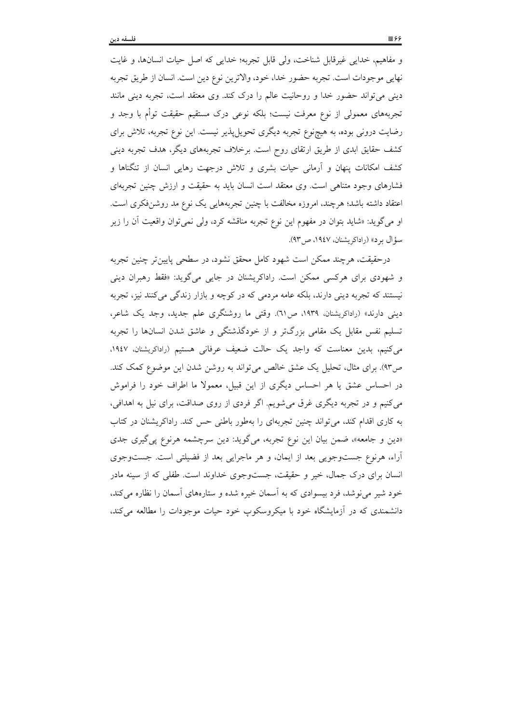و مفاهیم، خدایی غیرقابل شناخت، ولی قابل تجربه؛ خدایی که اصل حیات انسانها، و غایت نهايي موجودات است. تجربه حضور خدا، خود، والاترين نوع دين است. انسان از طريق تجربه دینی میتواند حضور خدا و روحانیت عالم را درک کند. وی معتقد است، تجربه دینی مانند تجربههای معمولی از نوع معرفت نیست؛ بلکه نوعی درک مستقیم حقیقت توأم با وجد و رضایت درونی بوده، به هیچنوع تجربه دیگری تحویلپذیر نیست. این نوع تجربه، تلاش برای کشف حقایق ابدی از طریق ارتقای روح است. برخلاف تجربههای دیگر، هدف تجربه دینی کشف امکانات پنهان و آرمانی حیات بشری و تلاش درجهت رهایی انسان از تنگناها و فشارهای وجود متناهی است. وی معتقد است انسان باید به حقیقت و ارزش چنین تجربهای اعتقاد داشته باشد؛ هرچند، امروزه مخالفت با چنین تجربههایی یک نوع مد روشنفکری است. او مي گويد: «شايد بتوان در مفهوم اين نوع تجربه مناقشه كرد، ولي نمي توان واقعيت اَن را زير سؤال بر د» (راداكريشنان، ١٩٤٧، ص٩٣).

درحقیقت، هرچند ممکن است شهود کامل محقق نشود، در سطحی پایین تر چنین تجربه و شهودی برای هرکسی ممکن است. راداکریشنان در جایی میگوید: «فقط رهبران دینی نیستند که تجربه دینی دارند، بلکه عامه مردمی که در کوچه و بازار زندگی میکنند نیز، تجربه دینی دارند» (راداکریشنان، ۱۹۳۹، ص ۳۱). وقتی ما روشنگری علم جدید، وجد یک شاعر، تسلیم نفس مقابل یک مقامی بزرگتر و از خودگذشتگی و عاشق شدن انسانها را تجربه می کنیم، بدین معناست که واجد یک حالت ضعیف عرفانی هستیم (راداکریشنان، ۱۹٤۷، ص۹۳). برای مثال، تحلیل یک عشق خالص می تواند به روشن شدن این موضوع کمک کند. در احساس عشق یا هر احساس دیگری از این قبیل، معمولا ما اطراف خود را فراموش می کنیم و در تجربه دیگری غرق می شویم. اگر فردی از روی صداقت، برای نیل به اهدافی، به کاری اقدام کند، می تواند چنین تجربهای را بهطور باطنی حس کند. راداکریشنان در کتاب «دین و جامعه»، ضمن بیان این نوع تجربه، میگوید: دین سرچشمه هرنوع پی گیری جدی آراء، هرنوع جستوجویی بعد از ایمان، و هر ماجرایی بعد از فضیلتی است. جستوجوی انسان برای درک جمال، خیر و حقیقت، جستوجوی خداوند است. طفلی که از سینه مادر خود شیر می نوشد، فرد بیسوادی که به آسمان خیره شده و ستارههای آسمان را نظاره می کند، دانشمندی که در اَزمایشگاه خود با میکروسکوپ خود حیات موجودات را مطالعه میکند،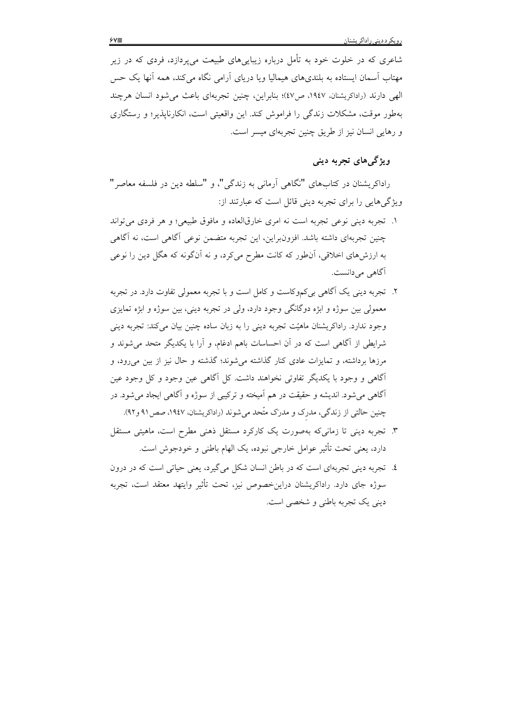شاعری که در خلوت خود به تأمل درباره زیباییهای طبیعت میپردازد، فردی که در زیر مهتاب اّسمان ایستاده به بلندیهای هیمالیا ویا دریای اّرامی نگاه میکند، همه اّنها یک حس الهی دارند (راداکریشنان، ۱۹٤۷، ص ٤٧)؛ بنابراین، چنین تجربهای باعث می شود انسان هرچند بهطور موقت، مشکلات زندگی را فراموش کند. این واقعیتی است، انکارناپذیر؛ و رستگاری و رهایی انسان نیز از طریق چنین تجربهای میسر است.

## ويژگي هاي تجربه دينې

راداکریشنان در کتابهای "نگاهی آرمانی به زندگی"، و "سلطه دین در فلسفه معاصر" ویژگی هایی را برای تجربه دینی قائل است که عبارتند از:

- ۱. تجربه دينې نوعي تجربه است نه امري خارقالعاده و مافوق طبيعي؛ و هر فردي مي تواند چنین تجربهای داشته باشد. افزونبراین، این تجربه متضمن نوعی آگاهی است، نه آگاهی به ارزشهای اخلاقی، آنطور که کانت مطرح میکرد، و نه آنگونه که هگل دین را نوعی آگاه<sub>ی</sub> میدانست.
- ۲. تجربه دینی یک آگاهی بی کموکاست و کامل است و با تجربه معمولی تفاوت دارد. در تجربه معمولی بین سوژه و ابژه دوگانگی وجود دارد، ولی در تجربه دینی، بین سوژه و ابژه تمایزی وجود ندارد. راداكريشنان ماهيّت تجربه ديني را به زبان ساده چنين بيان ميكند: تجربه ديني شرایطی از آگاهی است که در آن احساسات باهم ادغام، و آرا با یکدیگر متحد می شوند و مرزها برداشته، و تمایزات عادی کنار گذاشته می شوند؛ گذشته و حال نیز از بین می رود، و آگاهی و وجود با یکدیگر تفاوتی نخواهند داشت. کل آگاهی عین وجود و کل وجود عین آگاهی میشود. اندیشه و حقیقت در هم آمیخته و ترکیبی از سوژه و آگاهی ایجاد میشود. در چنین حالتی از زندگی، مدرک و مدرک متّحد می شوند (راداکریشنان، ۱۹٤۷، صص۱۹ و ۹۲).
- ۳. تجربه دینی تا زمانی که بهصورت یک کارکرد مستقل ذهنی مطرح است، ماهیتی مستقل دارد، يعني تحت تأثير عوامل خارجي نبوده، يک الهام باطني و خودجوش است.
- ٤. تجربه ديني تجربهاي است كه در باطن انسان شكل مي گيرد، يعني حياتي است كه در درون سوژه جای دارد. راداکریشنان دراینخصوص نیز، تحت تأثیر وایتهد معتقد است، تجربه دینی یک تجربه باطنی و شخصی است.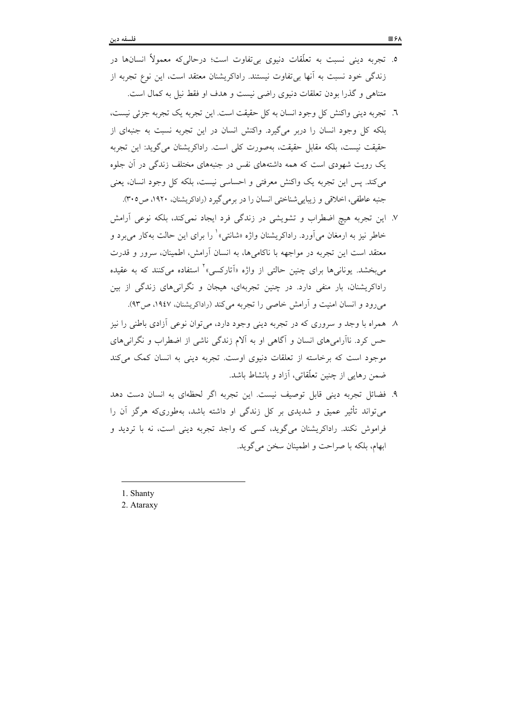- ٥. تجربه دینی نسبت به تعلّقات دنیوی بی تفاوت است؛ درحالیکه معمولاً انسانها در زندگی خود نسبت به أنها بی تفاوت نیستند. راداکریشنان معتقد است، این نوع تجربه از متناهی و گذرا بودن تعلقات دنیوی راضی نیست و هدف او فقط نیل به کمال است.
- ٦. تجربه ديني واكنش كل وجود انسان به كل حقيقت است. اين تجربه يك تجربه جزئي نيست، بلکه کل وجود انسان را دربر میگیرد. واکنش انسان در این تجربه نسبت به جنبهای از حقيقت نيست، بلكه مقابل حقيقت، بهصورت كلي است. راداكريشنان مي گويد: اين تجربه یک رویت شهودی است که همه داشتههای نفس در جنبههای مختلف زندگی در آن جلوه میکند. پس این تجربه یک واکنش معرفتی و احساسی نیست، بلکه کل وجود انسان، یعنی جنبه عاطفي، اخلاقي و زيبايي شناختي انسان را در برمي گيرد (راداكريشنان، ١٩٢٠، ص٣٠٥).
- ۷. این تجربه هیچ اضطراب و تشویشی در زندگی فرد ایجاد نمی کند، بلکه نوعی آرامش خاطر نيز به ارمغان مي آورد. راداكريشنان واژه «شانتي» ٰ را براي اين حالت بهكار مي برد و معتقد است این تجربه در مواجهه با ناکامی ها، به انسان آرامش، اطمینان، سرور و قدرت میبخشد. یونانیها برای چنین حالتی از واژه «اَتارکسی»<sup>۲</sup> استفاده میکنند که به عقیده راداکریشنان، بار منفی دارد. در چنین تجربهای، هیجان و نگرانیهای زندگی از بین می رود و انسان امنیت و آرامش خاصی را تجربه می کند (راداکریشنان، ۱۹٤۷، ص۹۳).
- ۸- همراه با وجد و سروری که در تجربه دینی وجود دارد، میتوان نوعی آزادی باطنی را نیز حس کرد. ناآرامیهای انسان و آگاهی او به اَلام زندگی ناشی از اضطراب و نگرانیهای موجود است که برخاسته از تعلقات دنیوی اوست. تجربه دینی به انسان کمک می کند ضمن رهایی از چنین تعلّقاتی، آزاد و بانشاط باشد.
- ٩. فضائل تجربه ديني قابل توصيف نيست. اين تجربه اگر لحظهاي به انسان دست دهد می تواند تأثیر عمیق و شدیدی بر کل زندگی او داشته باشد، بهطوریکه هرگز آن را فراموش نکند. راداکریشنان میگوید، کسی که واجد تجربه دینی است، نه با تردید و ابهام، بلكه با صراحت و اطمينان سخن مي گويد.

1. Shanty

2. Ataraxy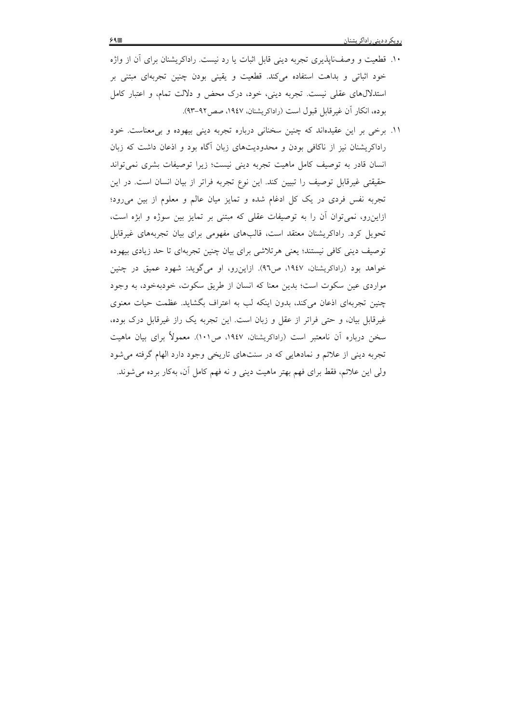١١. برخي بر اين عقيدهاند كه چنين سخناني درباره تجربه ديني بيهوده و بي معناست. خود راداکریشنان نیز از ناکافی بودن و محدودیتهای زبان آگاه بود و اذعان داشت که زبان انسان قادر به توصیف کامل ماهیت تجربه دینی نیست؛ زیرا توصیفات بشری نمی تواند حقيقتي غيرقابل توصيف را تبيين كند. اين نوع تجربه فراتر از بيان انسان است. در اين تجربه نفس فردی در یک کل ادغام شده و تمایز میان عالم و معلوم از بین می رود؛ ازاینِ رو، نمی توان آن را به توصیفات عقلی که مبتنی بر تمایز بین سوژه و ابژه است، تحویل کرد. راداکریشنان معتقد است، قالبهای مفهومی برای بیان تجربههای غیرقابل توصیف دینی کافی نیستند؛ یعنی هرتلاشی برای بیان چنین تجربهای تا حد زیادی بیهوده خواهد بود (راداکریشنان، ۱۹٤۷، ص۹٦). ازاین رو، او میگوید: شهود عمیق در چنین مواردی عین سکوت است؛ بدین معنا که انسان از طریق سکوت، خودبهخود، به وجود چنین تجربهای اذعان می کند، بدون اینکه لب به اعتراف بگشاید. عظمت حیات معنوی غیرقابل بیان، و حتی فراتر از عقل و زبان است. این تجربه یک راز غیرقابل درک بوده، سخن درباره أن نامعتبر است (راداكريشنان، ١٩٤٧، ص١٠١). معمولاً براي بيان ماهيت تجربه دینی از علائم و نمادهایی که در سنتهای تاریخی وجود دارد الهام گرفته می شود ولي اين علائم، فقط براي فهم بهتر ماهيت ديني و نه فهم كامل آن، بهكار برده مي شوند.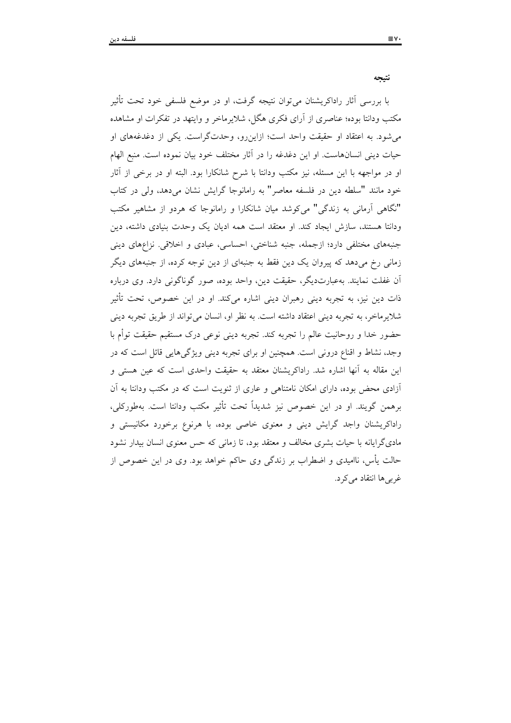نتيجه با بررسی آثار راداکریشنان میتوان نتیجه گرفت، او در موضع فلسفی خود تحت تأثیر مکتب ودانتا بوده؛ عناصری از آرای فکری هگل، شلایرماخر و وایتهد در تفکرات او مشاهده می شود. به اعتقاد او حقیقت واحد است؛ ازاین رو، وحدتگراست. یکی از دغدغههای او حيات ديني انسانهاست. او اين دغدغه را در آثار مختلف خود بيان نموده است. منبع الهام او در مواجهه با این مسئله، نیز مکتب ودانتا با شرح شانکارا بود. البته او در برخی از آثار خود مانند "سلطه دین در فلسفه معاصر" به رامانوجا گرایش نشان میدهد، ولی در کتاب "نگاهی آرمانی به زندگی" می کوشد میان شانکارا و رامانوجا که هردو از مشاهیر مکتب ودانتا هستند، سازش ایجاد کند. او معتقد است همه ادیان یک وحدت بنیادی داشته، دین جنبههای مختلفی دارد؛ ازجمله، جنبه شناختی، احساسی، عبادی و اخلاقی. نزاعهای دینی

زمانی رخ میدهد که پیروان یک دین فقط به جنبهای از دین توجه کرده، از جنبههای دیگر آن غفلت نمایند. بهعبارتدیگر، حقیقت دین، واحد بوده، صور گوناگونی دارد. وی درباره ذات دین نیز، به تجربه دینی رهبران دینی اشاره میکند. او در این خصوص، تحت تأثیر شلایرماخر، به تجربه دینی اعتقاد داشته است. به نظر او، انسان میتواند از طریق تجربه دینی حضور خدا و روحانیت عالم را تجربه کند. تجربه دینی نوعی درک مستقیم حقیقت توأم با وجد، نشاط و اقناع درونی است. همچنین او برای تجربه دینی ویژگیهایی قائل است که در این مقاله به آنها اشاره شد. راداکریشنان معتقد به حقیقت واحدی است که عین هستی و أزادی محض بوده، دارای امکان نامتناهی و عاری از ثنویت است که در مکتب ودانتا به آن برهمن گويند. او در اين خصوص نيز شديداً تحت تأثير مكتب ودانتا است. بهطوركلي، راداکریشنان واجد گرایش دینی و معنوی خاصی بوده، با هرنوع برخورد مکانیستی و مادیگرایانه با حیات بشری مخالف و معتقد بود، تا زمانی که حس معنوی انسان بیدار نشود حالت پأس، ناامیدی و اضطراب بر زندگی وی حاکم خواهد بود. وی در این خصوص از غربي ها انتقاد مي كرد.